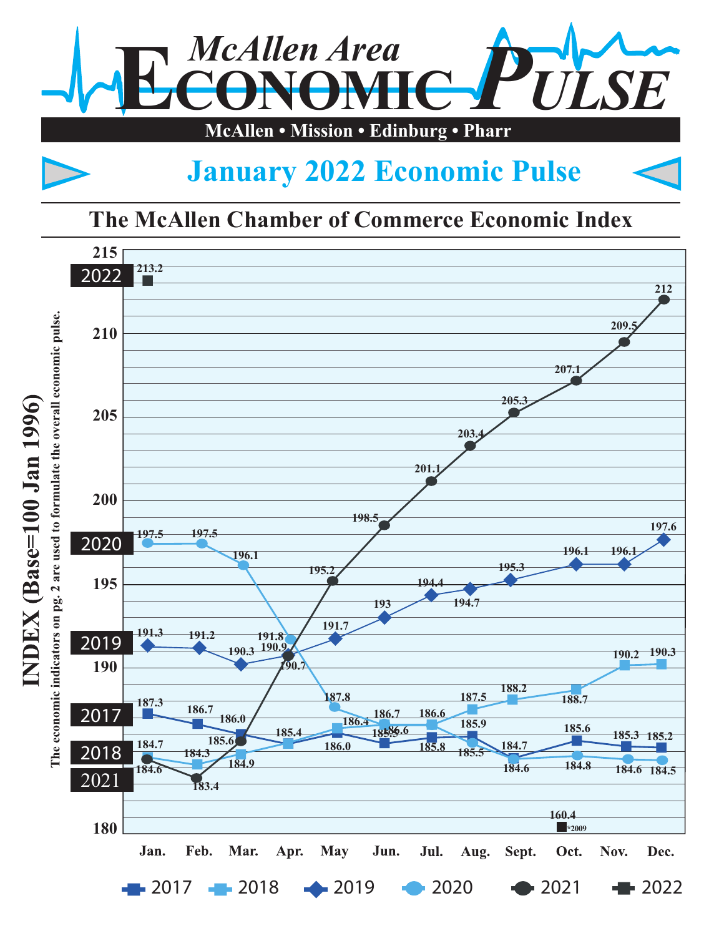

## **January 2022 Economic Pulse**

## **The McAllen Chamber of Commerce Economic Index**

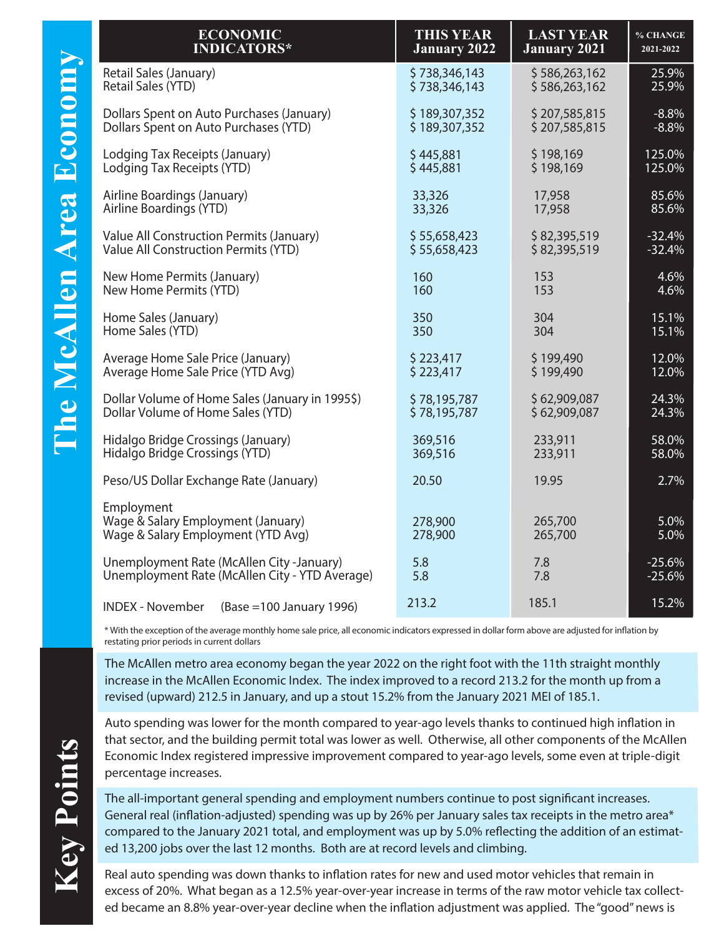| <b>ECONOMIC</b>                                                                        | <b>THIS YEAR</b>    | <b>LAST YEAR</b>    | % CHANGE     |
|----------------------------------------------------------------------------------------|---------------------|---------------------|--------------|
| <b>INDICATORS*</b>                                                                     | <b>January 2022</b> | <b>January 2021</b> | 2021-2022    |
| Retail Sales (January)                                                                 | \$738,346,143       | \$586,263,162       | 25.9%        |
| Retail Sales (YTD)                                                                     | \$738,346,143       | \$586,263,162       | 25.9%        |
| Dollars Spent on Auto Purchases (January)                                              | \$189,307,352       | \$207,585,815       | $-8.8%$      |
| Dollars Spent on Auto Purchases (YTD)                                                  | \$189,307,352       | \$207,585,815       | $-8.8%$      |
| Lodging Tax Receipts (January)                                                         | \$445,881           | \$198,169           | 125.0%       |
| Lodging Tax Receipts (YTD)                                                             | \$445,881           | \$198,169           | 125.0%       |
| Airline Boardings (January)                                                            | 33,326              | 17,958              | 85.6%        |
| Airline Boardings (YTD)                                                                | 33,326              | 17,958              | 85.6%        |
| Value All Construction Permits (January)                                               | \$55,658,423        | \$82,395,519        | $-32.4%$     |
| Value All Construction Permits (YTD)                                                   | \$55,658,423        | \$82,395,519        | $-32.4%$     |
| New Home Permits (January)                                                             | 160                 | 153                 | 4.6%         |
| New Home Permits (YTD)                                                                 | 160                 | 153                 | 4.6%         |
| Home Sales (January)                                                                   | 350                 | 304                 | 15.1%        |
| Home Sales (YTD)                                                                       | 350                 | 304                 | 15.1%        |
| Average Home Sale Price (January)                                                      | \$223,417           | \$199,490           | 12.0%        |
| Average Home Sale Price (YTD Avg)                                                      | \$223,417           | \$199,490           | 12.0%        |
| Dollar Volume of Home Sales (January in 1995\$)                                        | \$78,195,787        | \$62,909,087        | 24.3%        |
| Dollar Volume of Home Sales (YTD)                                                      | \$78,195,787        | \$62,909,087        | 24.3%        |
| Hidalgo Bridge Crossings (January)                                                     | 369,516             | 233,911             | 58.0%        |
| Hidalgo Bridge Crossings (YTD)                                                         | 369,516             | 233,911             | 58.0%        |
| Peso/US Dollar Exchange Rate (January)                                                 | 20.50               | 19.95               | 2.7%         |
| Employment<br>Wage & Salary Employment (January)<br>Wage & Salary Employment (YTD Avg) | 278,900<br>278,900  | 265,700<br>265,700  | 5.0%<br>5.0% |
| Unemployment Rate (McAllen City -January)                                              | 5.8                 | 7.8                 | $-25.6%$     |
| Unemployment Rate (McAllen City - YTD Average)                                         | 5.8                 | 7.8                 | $-25.6%$     |
| <b>INDEX - November</b><br>(Base = 100 January 1996)                                   | 213.2               | 185.1               | 15.2%        |

\* With the exception of the average monthly home sale price, all economic indicators expressed in dollar form above are adjusted for ination by restating prior periods in current dollars

The McAllen metro area economy began the year 2022 on the right foot with the 11th straight monthly increase in the McAllen Economic Index. The index improved to a record 213.2 for the month up from a revised (upward) 212.5 in January, and up a stout 15.2% from the January 2021 MEI of 185.1.

Auto spending was lower for the month compared to year-ago levels thanks to continued high inflation in that sector, and the building permit total was lower as well. Otherwise, all other components of the McAllen Economic Index registered impressive improvement compared to year-ago levels, some even at triple-digit percentage increases.

The all-important general spending and employment numbers continue to post significant increases. General real (inflation-adjusted) spending was up by 26% per January sales tax receipts in the metro area\* compared to the January 2021 total, and employment was up by 5.0% reflecting the addition of an estimated 13,200 jobs over the last 12 months. Both are at record levels and climbing.

Real auto spending was down thanks to inflation rates for new and used motor vehicles that remain in excess of 20%. What began as a 12.5% year-over-year increase in terms of the raw motor vehicle tax collected became an 8.8% year-over-year decline when the inflation adjustment was applied. The "good" news is